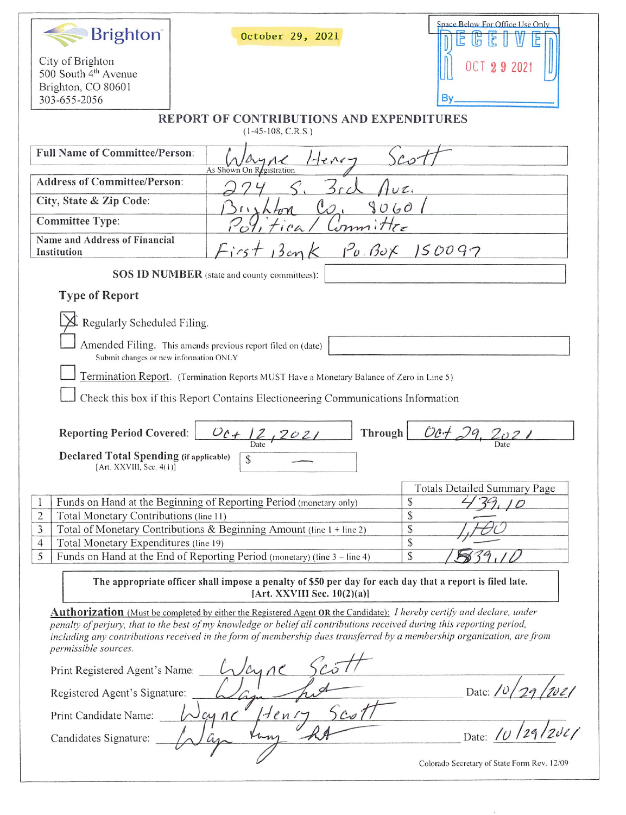| <b>Brighton</b> <sup>®</sup>                                               | October 29, 2021                                                                                                                                                                                                                                  | Space Below For Office Use Only             |
|----------------------------------------------------------------------------|---------------------------------------------------------------------------------------------------------------------------------------------------------------------------------------------------------------------------------------------------|---------------------------------------------|
| City of Brighton<br>500 South 4 <sup>th</sup> Avenue<br>Brighton, CO 80601 |                                                                                                                                                                                                                                                   | 29 2021                                     |
| 303-655-2056                                                               |                                                                                                                                                                                                                                                   | Β٧                                          |
|                                                                            | <b>REPORT OF CONTRIBUTIONS AND EXPENDITURES</b><br>$(1-45-108, C.R.S.)$                                                                                                                                                                           |                                             |
| <b>Full Name of Committee/Person:</b>                                      | $e^{\Lambda r}$<br>As Shown On Registration                                                                                                                                                                                                       |                                             |
| <b>Address of Committee/Person:</b>                                        |                                                                                                                                                                                                                                                   |                                             |
| City, State & Zip Code:                                                    |                                                                                                                                                                                                                                                   | UL<br>9060                                  |
| <b>Committee Type:</b>                                                     | $vmm$ , $\pi_{\epsilon}$                                                                                                                                                                                                                          |                                             |
| Name and Address of Financial<br>Institution                               | First 13 cm K                                                                                                                                                                                                                                     | $1^2$ 0. Box 150097                         |
|                                                                            | <b>SOS ID NUMBER</b> (state and county committees):                                                                                                                                                                                               |                                             |
| <b>Type of Report</b>                                                      |                                                                                                                                                                                                                                                   |                                             |
| Regularly Scheduled Filing.                                                |                                                                                                                                                                                                                                                   |                                             |
| Submit changes or new information ONLY                                     | Amended Filing. This amends previous report filed on (date)                                                                                                                                                                                       |                                             |
|                                                                            | Termination Report. (Termination Reports MUST Have a Monetary Balance of Zero in Line 5)                                                                                                                                                          |                                             |
|                                                                            |                                                                                                                                                                                                                                                   |                                             |
|                                                                            | Check this box if this Report Contains Electioneering Communications Information                                                                                                                                                                  |                                             |
|                                                                            |                                                                                                                                                                                                                                                   |                                             |
| <b>Reporting Period Covered:</b>                                           | $0c + 12, 2021$                                                                                                                                                                                                                                   | Oct 29, 202<br>Through                      |
| <b>Declared Total Spending (if applicable)</b><br>[Art. XXVIII, Sec. 4(1)] | S                                                                                                                                                                                                                                                 | Date                                        |
|                                                                            |                                                                                                                                                                                                                                                   | <b>Totals Detailed Summary Page</b>         |
|                                                                            | Funds on Hand at the Beginning of Reporting Period (monetary only)                                                                                                                                                                                | $\mathcal{S}$                               |
| $\overline{c}$<br>Total Monetary Contributions (line 11)                   |                                                                                                                                                                                                                                                   | \$                                          |
| 3                                                                          | Total of Monetary Contributions & Beginning Amount (line 1 + line 2)                                                                                                                                                                              | $\mathbb{S}$                                |
| Total Monetary Expenditures (line 19)<br>$\overline{4}$                    |                                                                                                                                                                                                                                                   | \$                                          |
| 5                                                                          | Funds on Hand at the End of Reporting Period (monetary) (line 3 - line 4)                                                                                                                                                                         | ${\mathbb S}$                               |
|                                                                            | The appropriate officer shall impose a penalty of \$50 per day for each day that a report is filed late.<br>[Art. XXVIII Sec. $10(2)(a)$ ]                                                                                                        |                                             |
|                                                                            | <b>Authorization</b> (Must be completed by either the Registered Agent OR the Candidate): <i>I hereby certify and declare, under</i>                                                                                                              |                                             |
|                                                                            | penalty of perjury, that to the best of my knowledge or belief all contributions received during this reporting period,<br>including any contributions received in the form of membership dues transferred by a membership organization, are from |                                             |
| permissible sources.                                                       |                                                                                                                                                                                                                                                   |                                             |
| Print Registered Agent's Name:                                             | Wayne                                                                                                                                                                                                                                             |                                             |
| Registered Agent's Signature:                                              |                                                                                                                                                                                                                                                   | Date:                                       |
| Print Candidate Name:                                                      | $1.4cm$ ry<br>$c_{0}$<br>$\sim$ cync                                                                                                                                                                                                              |                                             |
| Candidates Signature:                                                      |                                                                                                                                                                                                                                                   | Date: $\sqrt{\nu}$                          |
|                                                                            |                                                                                                                                                                                                                                                   | Colorado Secretary of State Form Rev. 12/09 |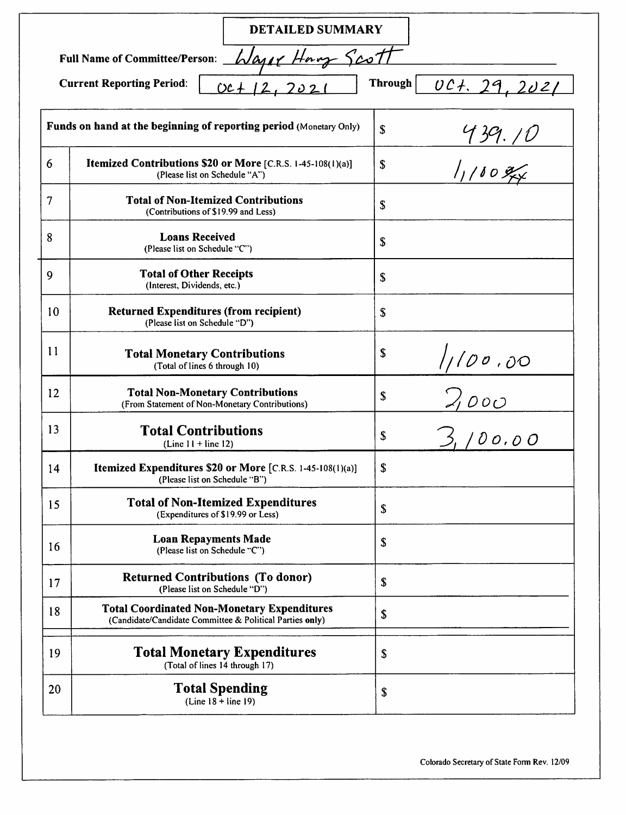|    | <b>DETAILED SUMMARY</b>                                                                                        |                                       |  |
|----|----------------------------------------------------------------------------------------------------------------|---------------------------------------|--|
|    | <u>7صے د</u> َ<br>$W$ arr $\epsilon$<br><b>Full Name of Committee/Person:</b>                                  |                                       |  |
|    | <b>Through</b><br><b>Current Reporting Period:</b><br>001.29.2021<br>$OC +$                                    |                                       |  |
|    | Funds on hand at the beginning of reporting period (Monetary Only)                                             | $\boldsymbol{\mathsf{S}}$             |  |
| 6  | Itemized Contributions \$20 or More [C.R.S. 1-45-108(1)(a)]<br>(Please list on Schedule "A")                   | $\frac{439.10}{1100}}$<br>$\mathbf S$ |  |
| 7  | <b>Total of Non-Itemized Contributions</b><br>(Contributions of \$19.99 and Less)                              | S                                     |  |
| 8  | <b>Loans Received</b><br>(Please list on Schedule "C")                                                         | $\boldsymbol{\mathsf{S}}$             |  |
| 9  | <b>Total of Other Receipts</b><br>(Interest, Dividends, etc.)                                                  | $\boldsymbol{\mathsf{S}}$             |  |
| 10 | <b>Returned Expenditures (from recipient)</b><br>(Please list on Schedule "D")                                 | \$                                    |  |
| 11 | <b>Total Monetary Contributions</b><br>(Total of lines 6 through 10)                                           | \$                                    |  |
| 12 | <b>Total Non-Monetary Contributions</b><br>(From Statement of Non-Monetary Contributions)                      | $\frac{1/100.00}{2,000}$<br>\$        |  |
| 13 | <b>Total Contributions</b><br>(Line $11 +$ line 12)                                                            | \$                                    |  |
| 14 | Itemized Expenditures \$20 or More [C.R.S. 1-45-108(1)(a)]<br>(Please list on Schedule "B")                    | \$                                    |  |
| 15 | <b>Total of Non-Itemized Expenditures</b><br>(Expenditures of \$19.99 or Less)                                 | \$                                    |  |
| 16 | <b>Loan Repayments Made</b><br>(Please list on Schedule "C")                                                   | \$                                    |  |
| 17 | <b>Returned Contributions (To donor)</b><br>(Please list on Schedule "D")                                      | \$                                    |  |
| 18 | <b>Total Coordinated Non-Monetary Expenditures</b><br>(Candidate/Candidate Committee & Political Parties only) | \$                                    |  |
| 19 | <b>Total Monetary Expenditures</b><br>(Total of lines 14 through 17)                                           | \$                                    |  |
| 20 | <b>Total Spending</b><br>(Line $18 + line 19$ )                                                                | \$                                    |  |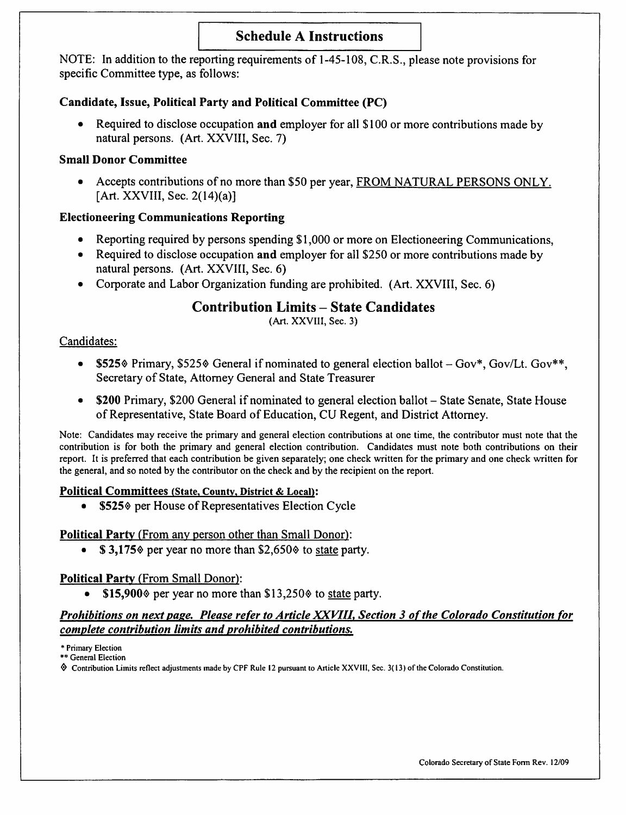# Schedule A Instructions

NOTE; In addition to the reporting requirements of 1-45-108, C.R.S., please note provisions for specific Committee type, as follows:

## Candidate, Issue, Political Party and Political Committee (PC)

• Required to disclose occupation and employer for all \$100 or more contributions made by natural persons. (Art. XXVIII, Sec. 7)

#### Small Donor Committee

• Accepts contributions of no more than \$50 per year, FROM NATURAL PERSONS ONLY. [Art. XXVIII, Sec. 2(14)(a)]

### Electioneering Communications Reporting

- Reporting required by persons spending \$1,000 or more on Electioneering Communications,
- Required to disclose occupation and employer for all \$250 or more contributions made by natural persons. (Art. XXVIII, Sec. 6)
- Corporate and Labor Organization funding are prohibited. (Art. XXVIII, Sec. 6)

## Contribution Limits - State Candidates

(Art. XXVIII, Sec. 3)

#### Candidates:

- \$525% Primary, \$525% General if nominated to general election ballot  $-Gov^*$ , Gov/Lt. Gov\*\*, Secretary of State, Attorney General and State Treasurer
- \$200 Primary, \$200 General if nominated to general election ballot State Senate, State House of Representative, State Board of Education, CU Regent, and District Attorney.

Note: Candidates may receive the primary and general election contributions at one time, the contributor must note that the contribution is for both the primary and general election contribution. Candidates must note both contributions on their report. It is preferred that each contribution be given separately; one check written for the primary and one check written for the general, and so noted by the contributor on the check and by the recipient on the report.

#### Political Committees (State, County, District & Local):

\$525% per House of Representatives Election Cycle

#### Political Party (From any person other than Small Donor):

 $$3,175$  per year no more than  $$2,650$  to state party.

## Political Party (From Small Donor):

•  $$15,900\%$  per year no more than  $$13,250\%$  to state party.

#### Prohibitions on next page. Please refer to Article XXVIII, Section 3 of the Colorado Constitution for complete contribution limits and prohibited contributions.

\* Primary Election

\*\* General Election

Contnbution Limits reflect adjustments made by CPF Rule 12 pursuant to Article XXVIll, Sec. 3( 13) of the Colorado Constitution.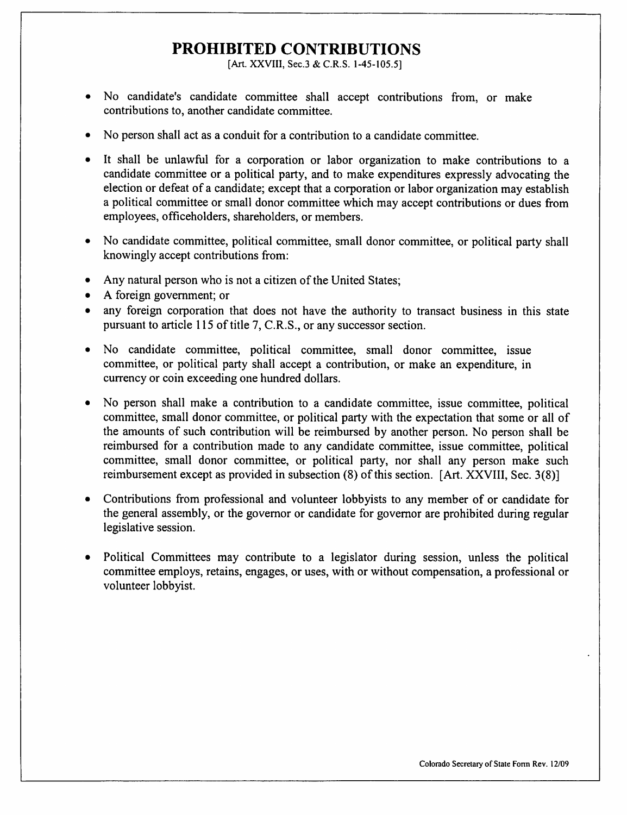# PROHIBITED CONTRIBUTIONS

[Art. XXVIII, Sec.3 & C.R.S. 1-45-105.5]

- No candidate's candidate committee shall accept contributions from, or make contributions to, another candidate committee.
- No person shall act as a conduit for a contribution to a candidate committee.
- It shall be unlawful for a corporation or labor organization to make contributions to a candidate committee or a political party, and to make expenditures expressly advocating the election or defeat of a candidate; except that a corporation or labor organization may establish a political committee or small donor committee which may accept contributions or dues from employees, officeholders, shareholders, or members.
- No candidate committee, political committee, small donor committee, or political party shall knowingly accept contributions from:
- Any natural person who is not a citizen of the United States;
- A foreign government; or
- any foreign corporation that does not have the authority to transact business in this state pursuant to article 115 of title 7, C.R.S., or any successor section.
- No candidate committee, political committee, small donor committee, issue committee, or political party shall accept a contribution, or make an expenditure, in currency or coin exceeding one hundred dollars.
- No person shall make a contribution to a candidate committee, issue committee, political committee, small donor committee, or political party with the expectation that some or all of the amounts of such contribution will be reimbursed by another person. No person shall be reimbursed for a contribution made to any candidate committee, issue committee, political committee, small donor committee, or political party, nor shall any person make such reimbursement except as provided in subsection (8) of this section. [Art. XXVIII, Sec. 3(8)]
- Contributions from professional and volunteer lobbyists to any member of or candidate for the general assembly, or the governor or candidate for governor are prohibited during regular legislative session.
- Political Committees may contribute to a legislator during session, unless the political committee employs, retains, engages, or uses, with or without compensation, a professional or volunteer lobbyist.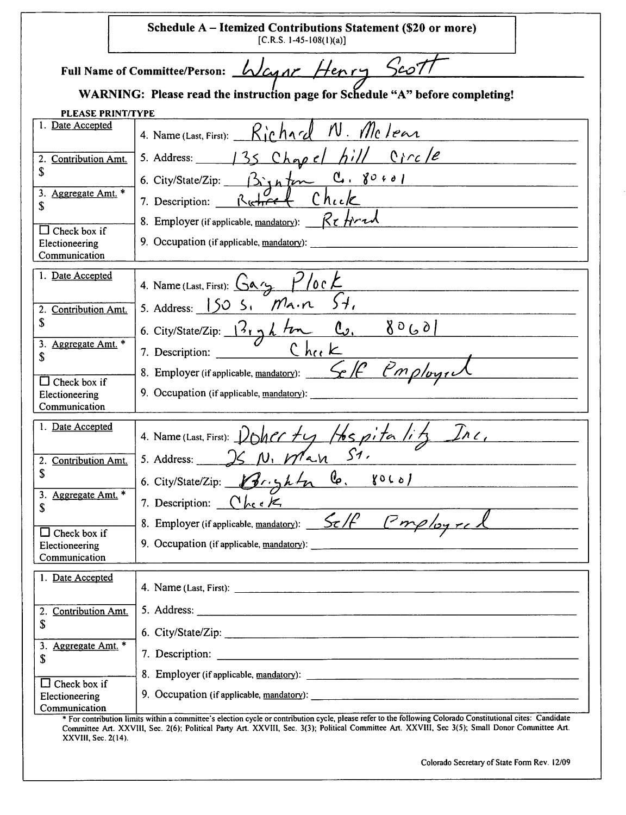|                                                        | Schedule A – Itemized Contributions Statement (\$20 or more)<br>$[C.R.S. 1-45-108(1)(a)]$                                                                   |  |
|--------------------------------------------------------|-------------------------------------------------------------------------------------------------------------------------------------------------------------|--|
| Full Name of Committee/Person: Wagne Henry Scot        |                                                                                                                                                             |  |
|                                                        | WARNING: Please read the instruction page for Schedule "A" before completing!                                                                               |  |
| <b>PLEASE PRINT/TYPE</b>                               |                                                                                                                                                             |  |
| 1. Date Accepted                                       | 4. Name (Last, First): Richard N. Mclear                                                                                                                    |  |
| 2.<br><b>Contribution Amt.</b><br>\$                   | 5. Address: $135$ Chopel hill Circle                                                                                                                        |  |
| Aggregate Amt. *<br>3.<br>\$                           | 6. City/State/Zip: Bignton C. 80401                                                                                                                         |  |
|                                                        | 8. Employer (if applicable, mandatory): $Rt$ from                                                                                                           |  |
| $\Box$ Check box if<br>Electioneering<br>Communication | 9. Occupation (if applicable, mandatory):                                                                                                                   |  |
| 1. Date Accepted                                       | 4. Name (Last, First): $Ga_{37}$ $P/ocE$<br>5. Address: 150 5, $Ma \cdot n$ 54,                                                                             |  |
| Contribution Amt.<br>2.<br>\$                          |                                                                                                                                                             |  |
| Aggregate Amt. *<br>3.                                 | 6. City/State/Zip: $13 \times h$ for $\frac{1}{2}$ , $8060$<br>7. Description: $\frac{2}{h}$ C heck                                                         |  |
| \$                                                     | 8. Employer (if applicable, mandatory): $\frac{f}{f}$ $\beta$ $\gamma$ $\beta$ $\gamma$                                                                     |  |
| $\Box$ Check box if<br>Electioneering<br>Communication | 9. Occupation (if applicable, $\text{mandatory}$ ):                                                                                                         |  |
| 1. Date Accepted                                       | 4. Name(Last, First): Doher ty Hospitality Inc.                                                                                                             |  |
| 2. Contribution Amt.<br>\$                             |                                                                                                                                                             |  |
| Aggregate Amt. *<br>3.                                 | $\mathbb{G}$<br>$\gamma$ 060)<br>Brightn<br>6. City/State/Zip:<br>7. Description: $\bigcap_{k \in \mathcal{K}} k$                                           |  |
| \$                                                     | 8. Employer (if applicable, mandatory): Self Cmployeel                                                                                                      |  |
| $\Box$ Check box if<br>Electioneering<br>Communication | 9. Occupation (if applicable, mandatory):                                                                                                                   |  |
|                                                        |                                                                                                                                                             |  |
| 1. Date Accepted                                       |                                                                                                                                                             |  |
| <b>Contribution Amt.</b><br>2.<br>\$                   |                                                                                                                                                             |  |
| 3. Aggregate Amt. *<br>\$                              | 6. City/State/Zip: 2008. City/State/Zip:                                                                                                                    |  |
|                                                        |                                                                                                                                                             |  |
| Check box if<br>IJ<br>Electioneering<br>Communication  |                                                                                                                                                             |  |
|                                                        | * For contribution limits within a committee's election cycle or contribution cycle, please refer to the following Colorado Constitutional cites: Candidate |  |

Committee Art. XXVIll, Sec. 2(6); Political Party Art. XXVIII, Sec. 3(3); Political Committee Ait. XXVIII, Sec 3(5); Small Donor Committee Art. XXVIII, Sec. 2(14).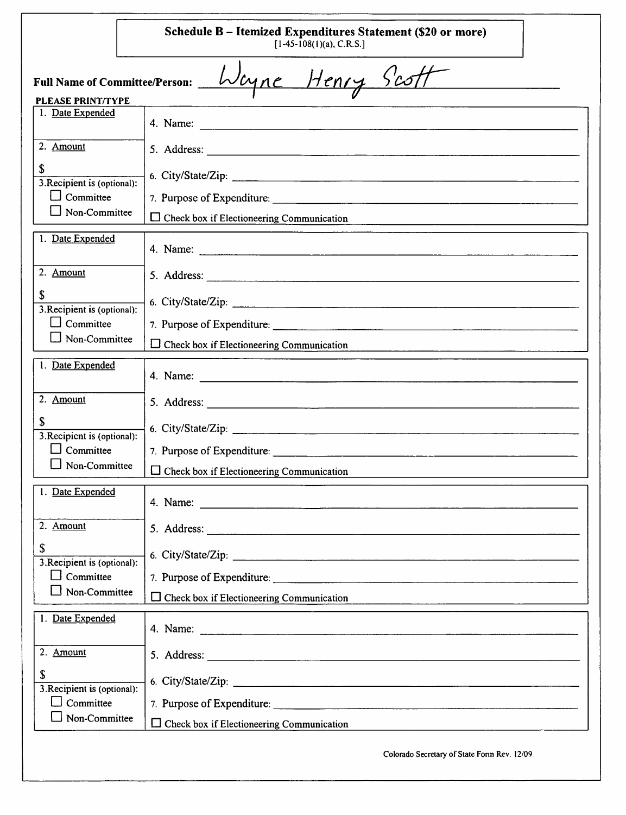|                                             | Schedule B - Itemized Expenditures Statement (\$20 or more)<br>$[1-45-108(1)(a), C.R.S.]$                     |
|---------------------------------------------|---------------------------------------------------------------------------------------------------------------|
| <b>PLEASE PRINT/TYPE</b>                    | Full Name of Committee/Person: <i>Wcyne Henry Scott</i>                                                       |
| 1. Date Expended                            |                                                                                                               |
| 2. Amount                                   |                                                                                                               |
| \$<br>3. Recipient is (optional):           | 6. City/State/Zip:                                                                                            |
| Committee                                   |                                                                                                               |
| Non-Committee                               | $\Box$ Check box if Electioneering Communication                                                              |
| 1. Date Expended                            | 4. Name: 2008. 2008. 2009. 2010. 2010. 2010. 2010. 2010. 2010. 2010. 2010. 2010. 2010. 2010. 2010. 2010. 2010 |
| 2. Amount                                   |                                                                                                               |
| $\mathbb{S}$<br>3. Recipient is (optional): |                                                                                                               |
| Committee                                   | 7. Purpose of Expenditure:                                                                                    |
| Non-Committee                               | $\Box$ Check box if Electioneering Communication                                                              |
| 1. Date Expended                            |                                                                                                               |
| 2. Amount                                   |                                                                                                               |
| \$<br>3. Recipient is (optional):           | 6. City/State/Zip:                                                                                            |
| Committee                                   |                                                                                                               |
| $\Box$ Non-Committee                        | $\Box$<br>Check box if Electioneering Communication                                                           |
| 1. Date Expended                            |                                                                                                               |
| 2. Amount                                   |                                                                                                               |
| \$<br>3. Recipient is (optional):           |                                                                                                               |
| $\Box$ Committee                            | 7. Purpose of Expenditure:                                                                                    |
| Non-Committee                               | $\Box$ Check box if Electioneering Communication                                                              |
| 1. Date Expended                            |                                                                                                               |
| 2. Amount                                   |                                                                                                               |
| \$<br>3. Recipient is (optional):           |                                                                                                               |
| $\Box$ Committee                            |                                                                                                               |
| Non-Committee                               | $\Box$ Check box if Electioneering Communication                                                              |
|                                             | Colorado Secretary of State Form Rev. 12/09                                                                   |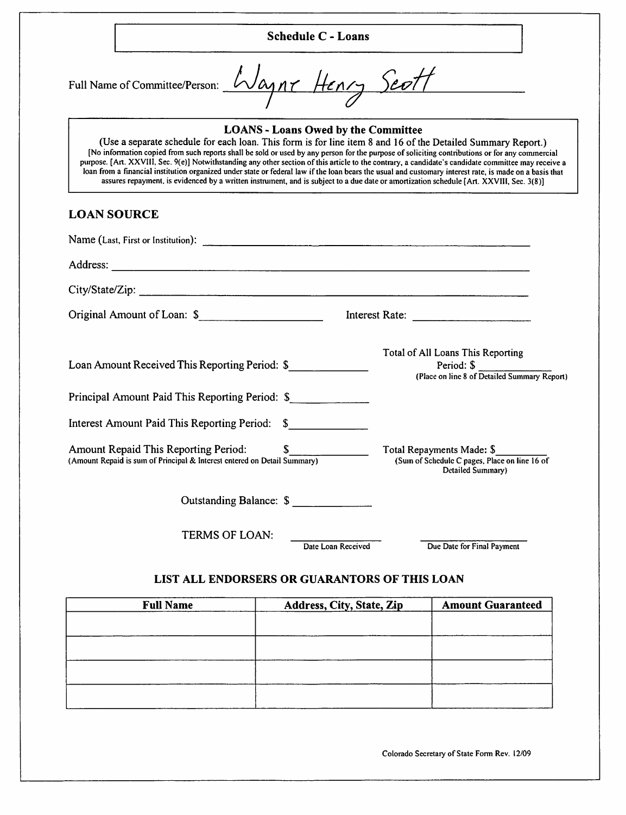|                    |                                                                                                                                                                                                                                                         | <b>Schedule C - Loans</b>                  |                                                                                                                                                                                                                                                                                                                                                                                                                                                                   |
|--------------------|---------------------------------------------------------------------------------------------------------------------------------------------------------------------------------------------------------------------------------------------------------|--------------------------------------------|-------------------------------------------------------------------------------------------------------------------------------------------------------------------------------------------------------------------------------------------------------------------------------------------------------------------------------------------------------------------------------------------------------------------------------------------------------------------|
|                    | Full Name of Committee/Person: Waynr Henry Scott                                                                                                                                                                                                        |                                            |                                                                                                                                                                                                                                                                                                                                                                                                                                                                   |
|                    | (Use a separate schedule for each loan. This form is for line item 8 and 16 of the Detailed Summary Report.)<br>assures repayment, is evidenced by a written instrument, and is subject to a due date or amortization schedule [Art. XXVIII, Sec. 3(8)] | <b>LOANS - Loans Owed by the Committee</b> | [No information copied from such reports shall be sold or used by any person for the purpose of soliciting contributions or for any commercial<br>purpose. [Art. XXVIII, Sec. 9(e)] Notwithstanding any other section of this article to the contrary, a candidate's candidate committee may receive a<br>loan from a financial institution organized under state or federal law if the loan bears the usual and customary interest rate, is made on a basis that |
| <b>LOAN SOURCE</b> |                                                                                                                                                                                                                                                         |                                            |                                                                                                                                                                                                                                                                                                                                                                                                                                                                   |
|                    | Name (Last, First or Institution):                                                                                                                                                                                                                      |                                            |                                                                                                                                                                                                                                                                                                                                                                                                                                                                   |
|                    |                                                                                                                                                                                                                                                         |                                            |                                                                                                                                                                                                                                                                                                                                                                                                                                                                   |
|                    |                                                                                                                                                                                                                                                         |                                            |                                                                                                                                                                                                                                                                                                                                                                                                                                                                   |
|                    | Original Amount of Loan: \$                                                                                                                                                                                                                             |                                            |                                                                                                                                                                                                                                                                                                                                                                                                                                                                   |
|                    | Loan Amount Received This Reporting Period: \$                                                                                                                                                                                                          |                                            | Total of All Loans This Reporting<br>Period: \$<br>(Place on line 8 of Detailed Summary Report)                                                                                                                                                                                                                                                                                                                                                                   |
|                    | Principal Amount Paid This Reporting Period: \$                                                                                                                                                                                                         |                                            |                                                                                                                                                                                                                                                                                                                                                                                                                                                                   |
|                    | Interest Amount Paid This Reporting Period: \$                                                                                                                                                                                                          |                                            |                                                                                                                                                                                                                                                                                                                                                                                                                                                                   |
|                    | <b>Amount Repaid This Reporting Period:</b><br>(Amount Repaid is sum of Principal & Interest entered on Detail Summary)                                                                                                                                 | \$                                         | Total Repayments Made: \$<br>(Sum of Schedule C pages, Place on line 16 of<br>Detailed Summary)                                                                                                                                                                                                                                                                                                                                                                   |
|                    |                                                                                                                                                                                                                                                         | Outstanding Balance: \$                    |                                                                                                                                                                                                                                                                                                                                                                                                                                                                   |
|                    | TERMS OF LOAN:                                                                                                                                                                                                                                          | Date Loan Received                         | Due Date for Final Payment                                                                                                                                                                                                                                                                                                                                                                                                                                        |
|                    | LIST ALL ENDORSERS OR GUARANTORS OF THIS LOAN                                                                                                                                                                                                           |                                            |                                                                                                                                                                                                                                                                                                                                                                                                                                                                   |
|                    | <b>Full Name</b>                                                                                                                                                                                                                                        | Address, City, State, Zip                  | <b>Amount Guaranteed</b>                                                                                                                                                                                                                                                                                                                                                                                                                                          |
|                    |                                                                                                                                                                                                                                                         |                                            |                                                                                                                                                                                                                                                                                                                                                                                                                                                                   |

| <b>Full Name</b> | Address, City, State, Zip | <b>Amount Guaranteed</b> |
|------------------|---------------------------|--------------------------|
|                  |                           |                          |
|                  |                           |                          |
|                  |                           |                          |
|                  |                           |                          |
|                  |                           |                          |
|                  |                           |                          |
|                  |                           |                          |
|                  |                           |                          |

Colorado Secretary of State Fonn Rev. 12/09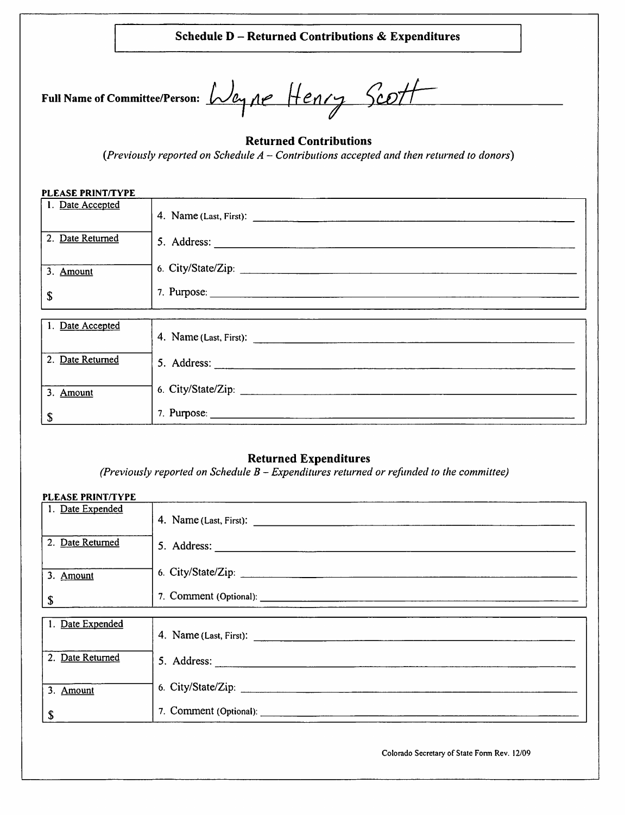#### Schedule D - Returned Contributions & Expenditures

| Full Name of Committee/Person: Way |  |  |
|------------------------------------|--|--|
|                                    |  |  |

 $\lambda$ Weyne Henry Scott  $\mathbf{A}$ 

#### Returned Contributions

 $(Previously reported on Schedule A - Contributions accepted and then returned to donors)$ 

## Returned Expenditures

(Previously reported on Schedule  $B$  – Expenditures returned or refunded to the committee)

| <b>PLEASE PRINT/TYPE</b>  |                    |
|---------------------------|--------------------|
| 1. Date Expended          |                    |
| 2. Date Returned          |                    |
| 3. Amount                 |                    |
| $\mathbf S$               |                    |
|                           |                    |
| 1. Date Expended          |                    |
| 2. Date Returned          | 5. Address:        |
| 3. Amount                 | 6. City/State/Zip: |
| $\boldsymbol{\mathsf{s}}$ |                    |

Colorado Secretary of State Fonn Rev. 12/09